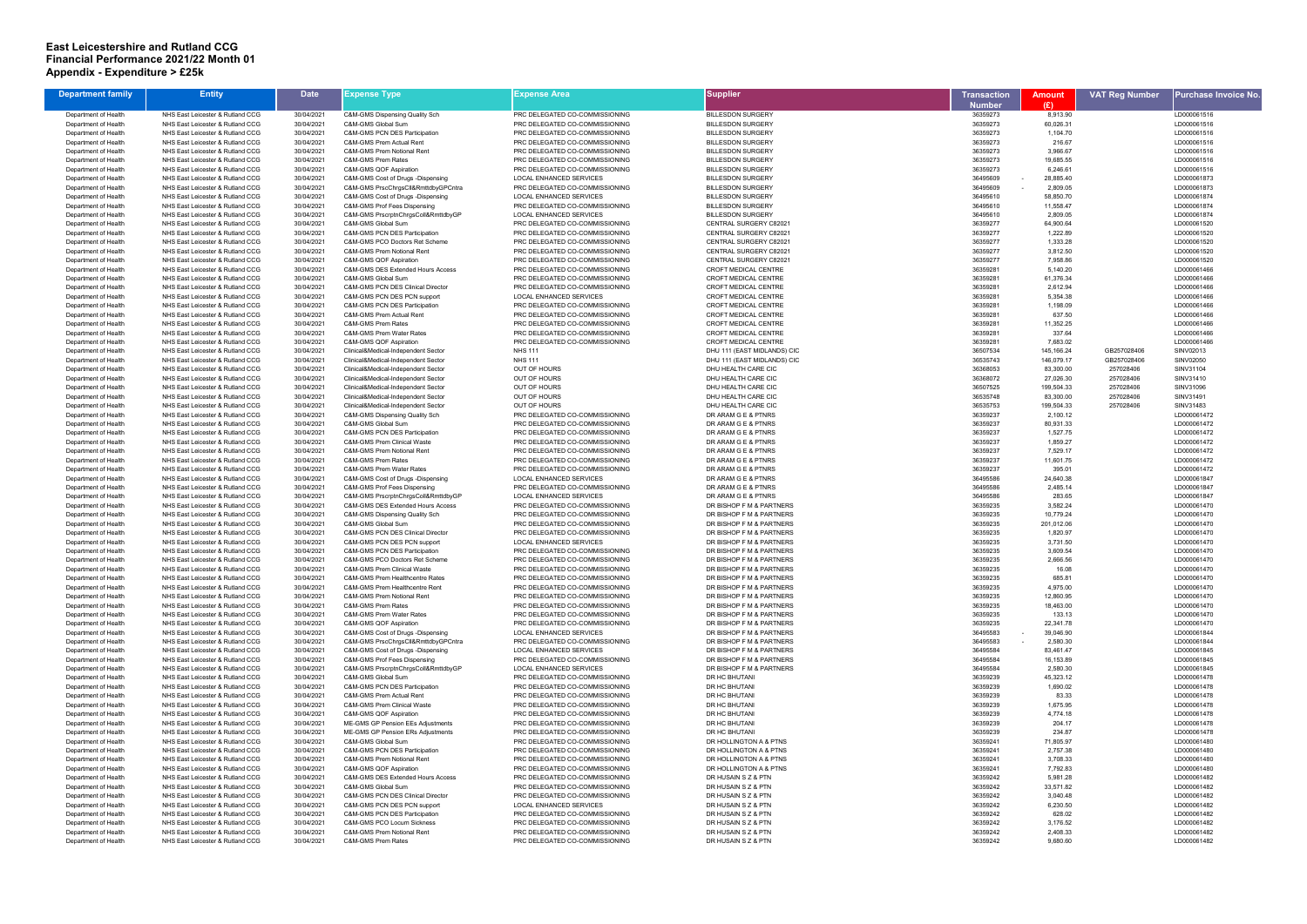## **East Leicestershire and Rutland CCG Financial Performance 2021/22 Month 01 Appendix - Expenditure > £25k**

| <b>Department family</b> | <b>Entity</b>                    | <b>Date</b> | Expense Type:                                | Expense Area                   | <b>Supplier</b>               | Transaction   | <b>Amount</b>      | <b>VAT Reg Number</b> | Purchase Invoice No. |
|--------------------------|----------------------------------|-------------|----------------------------------------------|--------------------------------|-------------------------------|---------------|--------------------|-----------------------|----------------------|
|                          |                                  |             |                                              |                                |                               | <b>Number</b> | (E)                |                       |                      |
| Department of Health     | NHS East Leicester & Rutland CCG | 30/04/2021  | C&M-GMS Dispensing Quality Sch               | PRC DELEGATED CO-COMMISSIONING | <b>BILLESDON SURGERY</b>      | 36359273      | 8,913.90           |                       | LD000061516          |
| Department of Health     | NHS East Leicester & Rutland CCG | 30/04/2021  | C&M-GMS Global Sum                           | PRC DELEGATED CO-COMMISSIONING | <b>BILLESDON SURGERY</b>      | 36359273      | 60,026.31          |                       | LD000061516          |
| Department of Health     | NHS East Leicester & Rutland CCG | 30/04/2021  | C&M-GMS PCN DES Participation                | PRC DELEGATED CO-COMMISSIONING | <b>BILLESDON SURGERY</b>      | 36359273      | 1,104.70           |                       | LD000061516          |
| Department of Health     | NHS East Leicester & Rutland CCG | 30/04/2021  | C&M-GMS Prem Actual Rent                     | PRC DELEGATED CO-COMMISSIONING | <b>BILLESDON SURGERY</b>      | 36359273      | 216.67             |                       | LD000061516          |
| Department of Health     | NHS East Leicester & Rutland CCG | 30/04/2021  | C&M-GMS Prem Notional Rent                   | PRC DELEGATED CO-COMMISSIONING | <b>BILLESDON SURGERY</b>      | 36359273      | 3,966.67           |                       | LD000061516          |
| Department of Health     | NHS East Leicester & Rutland CCG | 30/04/2021  | C&M-GMS Prem Rates                           | PRC DELEGATED CO-COMMISSIONING | <b>BILLESDON SURGERY</b>      | 36359273      | 19,685.55          |                       | LD000061516          |
| Department of Health     | NHS East Leicester & Rutland CCG | 30/04/2021  | C&M-GMS QOF Aspiration                       | PRC DELEGATED CO-COMMISSIONING | <b>BILLESDON SURGERY</b>      | 36359273      | 6,246.61           |                       | LD000061516          |
| Department of Health     | NHS East Leicester & Rutland CCG | 30/04/2021  | C&M-GMS Cost of Drugs -Dispensing            | <b>LOCAL ENHANCED SERVICES</b> | <b>BILLESDON SURGERY</b>      | 36495609      | 28,885.40          |                       | LD000061873          |
| Department of Health     | NHS East Leicester & Rutland CCG | 30/04/2021  | C&M-GMS PrscChrgsCll&RmttdbyGPCntra          | PRC DELEGATED CO-COMMISSIONING | <b>BILLESDON SURGERY</b>      | 36495609      | 2,809.05<br>$\sim$ |                       | LD000061873          |
| Department of Health     | NHS East Leicester & Rutland CCG | 30/04/2021  | C&M-GMS Cost of Drugs -Dispensing            | <b>LOCAL ENHANCED SERVICES</b> | <b>BILLESDON SURGERY</b>      | 36495610      | 58,850.70          |                       | LD000061874          |
| Department of Health     | NHS East Leicester & Rutland CCG | 30/04/2021  | C&M-GMS Prof Fees Dispensing                 | PRC DELEGATED CO-COMMISSIONING | <b>BILLESDON SURGERY</b>      | 36495610      | 11,558.47          |                       | LD000061874          |
| Department of Health     | NHS East Leicester & Rutland CCG | 30/04/2021  | C&M-GMS PrscrptnChrgsColl&RmttdbyGP          | <b>LOCAL ENHANCED SERVICES</b> | <b>BILLESDON SURGERY</b>      | 36495610      | 2,809.05           |                       | LD000061874          |
| Department of Health     | NHS East Leicester & Rutland CCG | 30/04/2021  | C&M-GMS Global Sum                           | PRC DELEGATED CO-COMMISSIONING | <b>CENTRAL SURGERY C82021</b> | 36359277      | 64,900.64          |                       | LD000061520          |
| Department of Health     | NHS East Leicester & Rutland CCG | 30/04/2021  | C&M-GMS PCN DES Participation                | PRC DELEGATED CO-COMMISSIONING | CENTRAL SURGERY C82021        | 36359277      | 1,222.89           |                       | LD000061520          |
| Department of Health     | NHS East Leicester & Rutland CCG | 30/04/2021  | C&M-GMS PCO Doctors Ret Scheme               | PRC DELEGATED CO-COMMISSIONING | CENTRAL SURGERY C82021        | 36359277      | 1,333.28           |                       | LD000061520          |
| Department of Health     | NHS East Leicester & Rutland CCG | 30/04/2021  | C&M-GMS Prem Notional Rent                   | PRC DELEGATED CO-COMMISSIONING | CENTRAL SURGERY C82021        | 36359277      | 3,812.50           |                       | LD000061520          |
| Department of Health     | NHS East Leicester & Rutland CCG | 30/04/2021  | C&M-GMS QOF Aspiration                       | PRC DELEGATED CO-COMMISSIONING | CENTRAL SURGERY C82021        | 36359277      | 7,958.86           |                       | LD000061520          |
| Department of Health     | NHS East Leicester & Rutland CCG | 30/04/2021  | C&M-GMS DES Extended Hours Access            | PRC DELEGATED CO-COMMISSIONING | CROFT MEDICAL CENTRE          | 36359281      | 5,140.20           |                       | LD000061466          |
| Department of Health     | NHS East Leicester & Rutland CCG | 30/04/2021  | C&M-GMS Global Sum                           | PRC DELEGATED CO-COMMISSIONING | <b>CROFT MEDICAL CENTRE</b>   | 36359281      | 61,376.34          |                       | LD000061466          |
| Department of Health     | NHS East Leicester & Rutland CCG | 30/04/2021  | <b>C&amp;M-GMS PCN DES Clinical Director</b> | PRC DELEGATED CO-COMMISSIONING | <b>CROFT MEDICAL CENTRE</b>   | 36359281      | 2,612.94           |                       | LD000061466          |
| Department of Health     | NHS East Leicester & Rutland CCG | 30/04/2021  | C&M-GMS PCN DES PCN support                  | LOCAL ENHANCED SERVICES        | <b>CROFT MEDICAL CENTRE</b>   | 36359281      | 5,354.38           |                       | LD000061466          |
| Department of Health     | NHS East Leicester & Rutland CCG | 30/04/2021  | C&M-GMS PCN DES Participation                | PRC DELEGATED CO-COMMISSIONING | <b>CROFT MEDICAL CENTRE</b>   | 36359281      | 1,198.09           |                       | LD000061466          |
| Department of Health     | NHS East Leicester & Rutland CCG | 30/04/2021  | C&M-GMS Prem Actual Rent                     | PRC DELEGATED CO-COMMISSIONING | <b>CROFT MEDICAL CENTRE</b>   | 36359281      | 637.50             |                       | LD000061466          |
| Department of Health     | NHS East Leicester & Rutland CCG | 30/04/2021  | C&M-GMS Prem Rates                           | PRC DELEGATED CO-COMMISSIONING | <b>CROFT MEDICAL CENTRE</b>   | 36359281      | 11,352.25          |                       | LD000061466          |
| Department of Health     | NHS East Leicester & Rutland CCG | 30/04/2021  | C&M-GMS Prem Water Rates                     | PRC DELEGATED CO-COMMISSIONING | CROFT MEDICAL CENTRE          | 36359281      | 337.64             |                       | LD000061466          |
| Department of Health     | NHS East Leicester & Rutland CCG | 30/04/2021  | C&M-GMS QOF Aspiration                       | PRC DELEGATED CO-COMMISSIONING | <b>CROFT MEDICAL CENTRE</b>   | 36359281      | 7,683.02           |                       | LD000061466          |
| Department of Health     | NHS East Leicester & Rutland CCG | 30/04/2021  | Clinical&Medical-Independent Sector          | <b>NHS 111</b>                 | DHU 111 (EAST MIDLANDS) CIC   | 36507534      | 145, 166.24        | GB257028406           | SINV02013            |
| Department of Health     | NHS East Leicester & Rutland CCG | 30/04/2021  | Clinical&Medical-Independent Sector          | <b>NHS 111</b>                 | DHU 111 (EAST MIDLANDS) CIC   | 36535743      | 146,079.17         | GB257028406           | SINV02050            |
| Department of Health     | NHS East Leicester & Rutland CCG | 30/04/2021  | Clinical&Medical-Independent Sector          | <b>OUT OF HOURS</b>            | DHU HEALTH CARE CIC           | 36368053      | 83,300.00          | 257028406             | SINV31104            |
| Department of Health     | NHS East Leicester & Rutland CCG | 30/04/2021  | Clinical&Medical-Independent Sector          | OUT OF HOURS                   | DHU HEALTH CARE CIC           | 36368072      | 27,026.30          | 257028406             | SINV31410            |
| Department of Health     | NHS East Leicester & Rutland CCG | 30/04/2021  | Clinical&Medical-Independent Sector          | OUT OF HOURS                   | DHU HEALTH CARE CIC           | 36507525      | 199,504.33         | 257028406             | SINV31096            |
| Department of Health     | NHS East Leicester & Rutland CCG | 30/04/2021  | Clinical&Medical-Independent Sector          | <b>OUT OF HOURS</b>            | DHU HEALTH CARE CIC           | 36535748      | 83,300.00          | 257028406             | SINV31491            |
| Department of Health     | NHS East Leicester & Rutland CCG | 30/04/2021  | Clinical&Medical-Independent Sector          | OUT OF HOURS                   | DHU HEALTH CARE CIC           | 36535753      | 199,504.33         | 257028406             | SINV31483            |
| Department of Health     | NHS East Leicester & Rutland CCG | 30/04/2021  | C&M-GMS Dispensing Quality Sch               | PRC DELEGATED CO-COMMISSIONING | DR ARAM G E & PTNRS           | 36359237      | 2,100.12           |                       | LD000061472          |
| Department of Health     | NHS East Leicester & Rutland CCG | 30/04/2021  | C&M-GMS Global Sum                           | PRC DELEGATED CO-COMMISSIONING | DR ARAM G E & PTNRS           | 36359237      | 80,931.33          |                       | LD000061472          |
| Department of Health     | NHS East Leicester & Rutland CCG | 30/04/2021  | C&M-GMS PCN DES Participation                | PRC DELEGATED CO-COMMISSIONING | DR ARAM G E & PTNRS           | 36359237      | 1,527.75           |                       | LD000061472          |
| Department of Health     | NHS East Leicester & Rutland CCG | 30/04/2021  | C&M-GMS Prem Clinical Waste                  | PRC DELEGATED CO-COMMISSIONING | DR ARAM G E & PTNRS           | 36359237      | 1,859.27           |                       | LD000061472          |
| Department of Health     | NHS East Leicester & Rutland CCG | 30/04/2021  | C&M-GMS Prem Notional Rent                   | PRC DELEGATED CO-COMMISSIONING | DR ARAM G E & PTNRS           | 36359237      | 7,529.17           |                       | LD000061472          |
| Department of Health     | NHS East Leicester & Rutland CCG | 30/04/2021  | C&M-GMS Prem Rates                           | PRC DELEGATED CO-COMMISSIONING | DR ARAM G E & PTNRS           | 36359237      | 11,601.75          |                       | LD000061472          |
| Department of Health     | NHS East Leicester & Rutland CCG | 30/04/2021  | C&M-GMS Prem Water Rates                     | PRC DELEGATED CO-COMMISSIONING | DR ARAM G E & PTNRS           | 36359237      | 395.01             |                       | LD000061472          |
| Department of Health     | NHS East Leicester & Rutland CCG | 30/04/2021  | C&M-GMS Cost of Drugs -Dispensing            | <b>LOCAL ENHANCED SERVICES</b> | DR ARAM G E & PTNRS           | 36495586      | 24,640.38          |                       | LD000061847          |
| Department of Health     | NHS East Leicester & Rutland CCG | 30/04/2021  | C&M-GMS Prof Fees Dispensing                 | PRC DELEGATED CO-COMMISSIONING | DR ARAM G E & PTNRS           | 36495586      | 2,485.14           |                       | LD000061847          |
| Department of Health     | NHS East Leicester & Rutland CCG | 30/04/2021  | C&M-GMS PrscrptnChrgsColl&RmttdbyGP          | LOCAL ENHANCED SERVICES        | DR ARAM G E & PTNRS           | 36495586      | 283.65             |                       | LD000061847          |
| Department of Health     | NHS East Leicester & Rutland CCG | 30/04/2021  | C&M-GMS DES Extended Hours Access            | PRC DELEGATED CO-COMMISSIONING | DR BISHOP F M & PARTNERS      | 36359235      | 3,582.24           |                       | LD000061470          |
| Department of Health     | NHS East Leicester & Rutland CCG | 30/04/2021  | C&M-GMS Dispensing Quality Sch               | PRC DELEGATED CO-COMMISSIONING | DR BISHOP F M & PARTNERS      | 36359235      | 10,779.24          |                       | LD000061470          |
| Department of Health     | NHS East Leicester & Rutland CCG | 30/04/2021  | C&M-GMS Global Sum                           | PRC DELEGATED CO-COMMISSIONING | DR BISHOP F M & PARTNERS      | 36359235      | 201,012.06         |                       | LD000061470          |
| Department of Health     | NHS East Leicester & Rutland CCG | 30/04/2021  | C&M-GMS PCN DES Clinical Director            | PRC DELEGATED CO-COMMISSIONING | DR BISHOP F M & PARTNERS      | 36359235      | 1,820.97           |                       | LD000061470          |
| Department of Health     | NHS East Leicester & Rutland CCG | 30/04/2021  | C&M-GMS PCN DES PCN support                  | <b>LOCAL ENHANCED SERVICES</b> | DR BISHOP F M & PARTNERS      | 36359235      | 3,731.50           |                       | LD000061470          |
| Department of Health     | NHS East Leicester & Rutland CCG | 30/04/2021  | C&M-GMS PCN DES Participation                | PRC DELEGATED CO-COMMISSIONING | DR BISHOP F M & PARTNERS      | 36359235      | 3,609.54           |                       | LD000061470          |
| Department of Health     | NHS East Leicester & Rutland CCG | 30/04/2021  | C&M-GMS PCO Doctors Ret Scheme               | PRC DELEGATED CO-COMMISSIONING | DR BISHOP F M & PARTNERS      | 36359235      | 2,666.56           |                       | LD000061470          |
| Department of Health     | NHS East Leicester & Rutland CCG | 30/04/2021  | C&M-GMS Prem Clinical Waste                  | PRC DELEGATED CO-COMMISSIONING | DR BISHOP F M & PARTNERS      | 36359235      | 16.08              |                       | LD000061470          |
| Department of Health     | NHS East Leicester & Rutland CCG | 30/04/2021  | C&M-GMS Prem Healthcentre Rates              | PRC DELEGATED CO-COMMISSIONING | DR BISHOP F M & PARTNERS      | 36359235      | 685.81             |                       | LD000061470          |
| Department of Health     | NHS East Leicester & Rutland CCG | 30/04/2021  | C&M-GMS Prem Healthcentre Rent               | PRC DELEGATED CO-COMMISSIONING | DR BISHOP F M & PARTNERS      | 36359235      | 4,975.00           |                       | LD000061470          |
| Department of Health     | NHS East Leicester & Rutland CCG | 30/04/2021  | C&M-GMS Prem Notional Rent                   | PRC DELEGATED CO-COMMISSIONING | DR BISHOP F M & PARTNERS      | 36359235      | 12,860.95          |                       | LD000061470          |
| Department of Health     | NHS East Leicester & Rutland CCG | 30/04/2021  | C&M-GMS Prem Rates                           | PRC DELEGATED CO-COMMISSIONING | DR BISHOP F M & PARTNERS      | 36359235      | 18,463.00          |                       | LD000061470          |
| Department of Health     | NHS East Leicester & Rutland CCG | 30/04/2021  | C&M-GMS Prem Water Rates                     | PRC DELEGATED CO-COMMISSIONING | DR BISHOP F M & PARTNERS      | 36359235      | 133.13             |                       | LD000061470          |
| Department of Health     | NHS East Leicester & Rutland CCG | 30/04/2021  | C&M-GMS QOF Aspiration                       | PRC DELEGATED CO-COMMISSIONING | DR BISHOP F M & PARTNERS      | 36359235      | 22,341.78          |                       | LD000061470          |
| Department of Health     | NHS East Leicester & Rutland CCG | 30/04/2021  | C&M-GMS Cost of Drugs -Dispensing            | LOCAL ENHANCED SERVICES        | DR BISHOP F M & PARTNERS      | 36495583      | 39,046.90          |                       | LD000061844          |
| Department of Health     | NHS East Leicester & Rutland CCG | 30/04/2021  | C&M-GMS PrscChrgsCll&RmttdbyGPCntra          | PRC DELEGATED CO-COMMISSIONING | DR BISHOP F M & PARTNERS      | 36495583      | 2,580.30           |                       | LD000061844          |
| Department of Health     | NHS East Leicester & Rutland CCG | 30/04/2021  | C&M-GMS Cost of Drugs -Dispensing            | LOCAL ENHANCED SERVICES        | DR BISHOP F M & PARTNERS      | 36495584      | 83,461.47          |                       | LD000061845          |
| Department of Health     | NHS East Leicester & Rutland CCG | 30/04/2021  | C&M-GMS Prof Fees Dispensing                 | PRC DELEGATED CO-COMMISSIONING | DR BISHOP F M & PARTNERS      | 36495584      | 16,153.89          |                       | LD000061845          |
| Department of Health     | NHS East Leicester & Rutland CCG | 30/04/2021  | C&M-GMS PrscrptnChrgsColl&RmttdbyGP          | <b>LOCAL ENHANCED SERVICES</b> | DR BISHOP F M & PARTNERS      | 36495584      | 2,580.30           |                       | LD000061845          |
| Department of Health     | NHS East Leicester & Rutland CCG | 30/04/2021  | C&M-GMS Global Sum                           | PRC DELEGATED CO-COMMISSIONING | DR HC BHUTANI                 | 36359239      | 45,323.12          |                       | LD000061478          |
| Department of Health     | NHS East Leicester & Rutland CCG | 30/04/2021  | C&M-GMS PCN DES Participation                | PRC DELEGATED CO-COMMISSIONING | DR HC BHUTANI                 | 36359239      | 1,690.02           |                       | LD000061478          |
| Department of Health     | NHS East Leicester & Rutland CCG | 30/04/2021  | C&M-GMS Prem Actual Rent                     | PRC DELEGATED CO-COMMISSIONING | DR HC BHUTANI                 | 36359239      | 83.33              |                       | LD000061478          |
| Department of Health     | NHS East Leicester & Rutland CCG | 30/04/2021  | <b>C&amp;M-GMS Prem Clinical Waste</b>       | PRC DELEGATED CO-COMMISSIONING | DR HC BHUTANI                 | 36359239      | 1,675.95           |                       | LD000061478          |
| Department of Health     | NHS East Leicester & Rutland CCG | 30/04/2021  | C&M-GMS QOF Aspiration                       | PRC DELEGATED CO-COMMISSIONING | DR HC BHUTANI                 | 36359239      | 4,774.18           |                       | LD000061478          |
| Department of Health     | NHS East Leicester & Rutland CCG | 30/04/2021  | ME-GMS GP Pension EEs Adjustments            | PRC DELEGATED CO-COMMISSIONING | DR HC BHUTANI                 | 36359239      | 204.17             |                       | LD000061478          |
| Department of Health     | NHS East Leicester & Rutland CCG | 30/04/2021  | ME-GMS GP Pension ERs Adjustments            | PRC DELEGATED CO-COMMISSIONING | DR HC BHUTANI                 | 36359239      | 234.87             |                       | LD000061478          |
| Department of Health     | NHS East Leicester & Rutland CCG | 30/04/2021  | C&M-GMS Global Sum                           | PRC DELEGATED CO-COMMISSIONING | DR HOLLINGTON A & PTNS        | 36359241      | 71,805.97          |                       | LD000061480          |
| Department of Health     | NHS East Leicester & Rutland CCG | 30/04/2021  | C&M-GMS PCN DES Participation                | PRC DELEGATED CO-COMMISSIONING | DR HOLLINGTON A & PTNS        | 36359241      | 2,757.38           |                       | LD000061480          |
| Department of Health     | NHS East Leicester & Rutland CCG | 30/04/2021  | C&M-GMS Prem Notional Rent                   | PRC DELEGATED CO-COMMISSIONING | DR HOLLINGTON A & PTNS        | 36359241      | 3,708.33           |                       | LD000061480          |
| Department of Health     | NHS East Leicester & Rutland CCG | 30/04/2021  | C&M-GMS QOF Aspiration                       | PRC DELEGATED CO-COMMISSIONING | DR HOLLINGTON A & PTNS        | 36359241      | 7,792.83           |                       | LD000061480          |
| Department of Health     | NHS East Leicester & Rutland CCG | 30/04/2021  | C&M-GMS DES Extended Hours Access            | PRC DELEGATED CO-COMMISSIONING | DR HUSAIN S Z & PTN           | 36359242      | 5,981.28           |                       | LD000061482          |
| Department of Health     | NHS East Leicester & Rutland CCG | 30/04/2021  | C&M-GMS Global Sum                           | PRC DELEGATED CO-COMMISSIONING | DR HUSAIN S Z & PTN           | 36359242      | 33,571.82          |                       | LD000061482          |
| Department of Health     | NHS East Leicester & Rutland CCG | 30/04/2021  | <b>C&amp;M-GMS PCN DES Clinical Director</b> | PRC DELEGATED CO-COMMISSIONING | DR HUSAIN S Z & PTN           | 36359242      | 3,040.48           |                       | LD000061482          |
| Department of Health     | NHS East Leicester & Rutland CCG | 30/04/2021  | C&M-GMS PCN DES PCN support                  | <b>LOCAL ENHANCED SERVICES</b> | DR HUSAIN S Z & PTN           | 36359242      | 6,230.50           |                       | LD000061482          |
| Department of Health     | NHS East Leicester & Rutland CCG | 30/04/2021  | C&M-GMS PCN DES Participation                | PRC DELEGATED CO-COMMISSIONING | DR HUSAIN S Z & PTN           | 36359242      | 628.02             |                       | LD000061482          |
| Department of Health     | NHS East Leicester & Rutland CCG | 30/04/2021  | C&M-GMS PCO Locum Sickness                   | PRC DELEGATED CO-COMMISSIONING | DR HUSAIN S Z & PTN           | 36359242      | 3,176.52           |                       | LD000061482          |
| Department of Health     | NHS East Leicester & Rutland CCG | 30/04/2021  | C&M-GMS Prem Notional Rent                   | PRC DELEGATED CO-COMMISSIONING | DR HUSAIN S Z & PTN           | 36359242      | 2,408.33           |                       | LD000061482          |
| Department of Health     | NHS East Leicester & Rutland CCG | 30/04/2021  | C&M-GMS Prem Rates                           | PRC DELEGATED CO-COMMISSIONING | DR HUSAIN S Z & PTN           | 36359242      | 9,680.60           |                       | LD000061482          |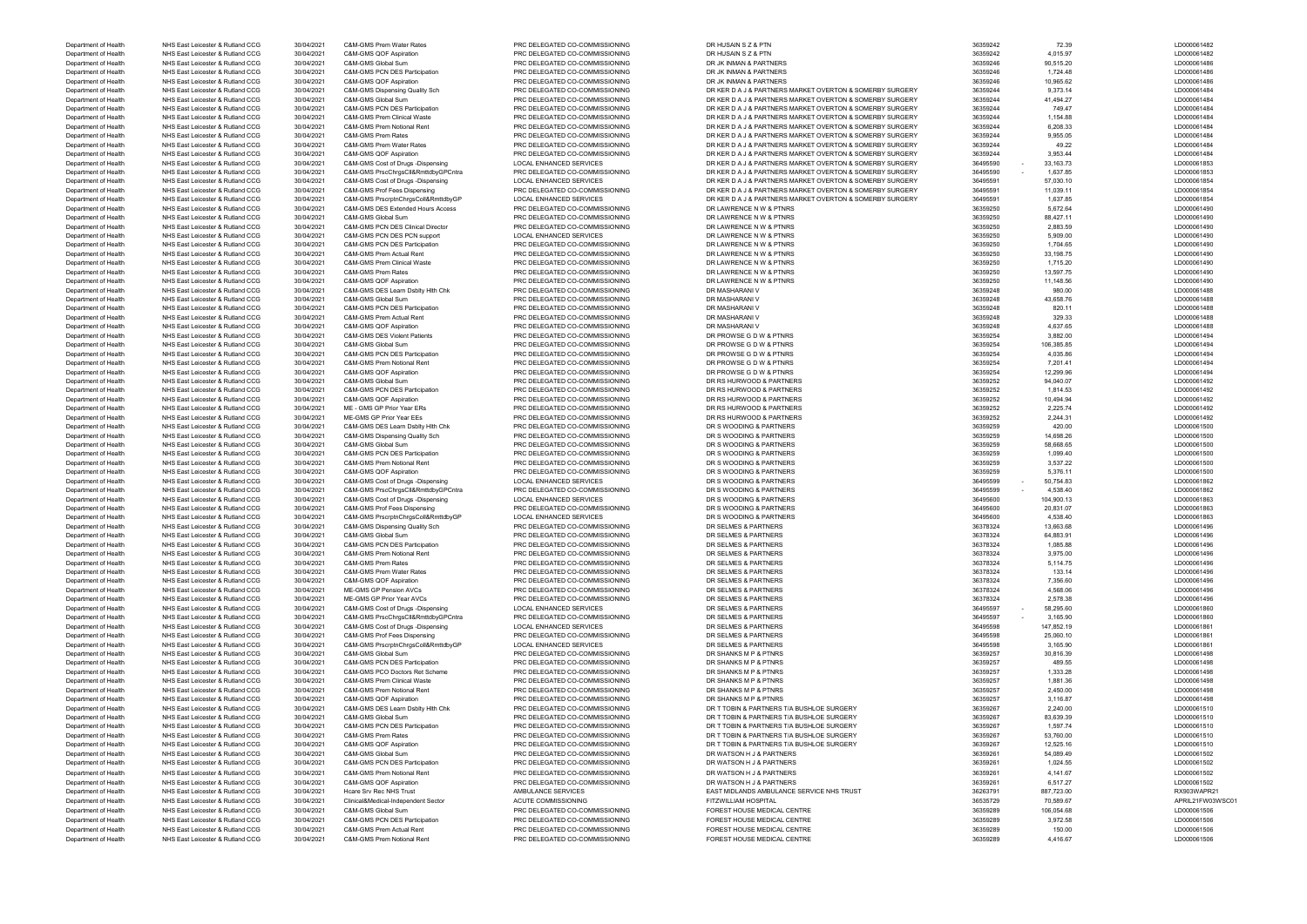| Department of Health | NHS East Leicester & Rutland CCG | 30/04/2021 | C&M-GMS Prem Water Rates                     | PRC DELEGATED CO-COMMISSIONING | DR HUSAIN S Z & PTN                                      | 36359242           | 72.39      | LD000061482 |
|----------------------|----------------------------------|------------|----------------------------------------------|--------------------------------|----------------------------------------------------------|--------------------|------------|-------------|
| Department of Health | NHS East Leicester & Rutland CCG | 30/04/2021 | C&M-GMS QOF Aspiration                       | PRC DELEGATED CO-COMMISSIONING | DR HUSAIN S Z & PTN                                      | 36359242           | 4,015.97   | LD000061482 |
| Department of Health | NHS East Leicester & Rutland CCG | 30/04/2021 | C&M-GMS Global Sum                           | PRC DELEGATED CO-COMMISSIONING | DR JK INMAN & PARTNERS                                   | 36359246           | 90,515.20  | LD000061486 |
|                      |                                  |            | C&M-GMS PCN DES Participation                |                                |                                                          |                    |            |             |
| Department of Health | NHS East Leicester & Rutland CCG | 30/04/2021 |                                              | PRC DELEGATED CO-COMMISSIONING | DR JK INMAN & PARTNERS                                   | 36359246           | 1,724.48   | LD000061486 |
| Department of Health | NHS East Leicester & Rutland CCG | 30/04/2021 | C&M-GMS QOF Aspiration                       | PRC DELEGATED CO-COMMISSIONING | DR JK INMAN & PARTNERS                                   | 36359246           | 10,965.62  | LD000061486 |
| Department of Health | NHS East Leicester & Rutland CCG | 30/04/2021 | C&M-GMS Dispensing Quality Sch               | PRC DELEGATED CO-COMMISSIONING | DR KER D A J & PARTNERS MARKET OVERTON & SOMERBY SURGERY | 36359244           | 9,373.14   | LD000061484 |
| Department of Health | NHS East Leicester & Rutland CCG | 30/04/2021 | C&M-GMS Global Sum                           | PRC DELEGATED CO-COMMISSIONING | DR KER D A J & PARTNERS MARKET OVERTON & SOMERBY SURGERY | 36359244           | 41,494.27  | LD000061484 |
|                      |                                  |            |                                              |                                |                                                          |                    |            |             |
| Department of Health | NHS East Leicester & Rutland CCG | 30/04/2021 | C&M-GMS PCN DES Participation                | PRC DELEGATED CO-COMMISSIONING | DR KER D A J & PARTNERS MARKET OVERTON & SOMERBY SURGERY | 36359244           | 749.47     | LD000061484 |
| Department of Health | NHS East Leicester & Rutland CCG | 30/04/2021 | C&M-GMS Prem Clinical Waste                  | PRC DELEGATED CO-COMMISSIONING | DR KER D A J & PARTNERS MARKET OVERTON & SOMERBY SURGERY | 36359244           | 1,154.88   | LD000061484 |
| Department of Health | NHS East Leicester & Rutland CCG | 30/04/2021 | C&M-GMS Prem Notional Rent                   | PRC DELEGATED CO-COMMISSIONING | DR KER D A J & PARTNERS MARKET OVERTON & SOMERBY SURGERY | 36359244           | 6,208.33   | LD000061484 |
|                      | NHS East Leicester & Rutland CCG | 30/04/2021 | C&M-GMS Prem Rates                           | PRC DELEGATED CO-COMMISSIONING | DR KER D A J & PARTNERS MARKET OVERTON & SOMERBY SURGERY | 36359244           | 9,955.05   | LD000061484 |
| Department of Health |                                  |            |                                              |                                |                                                          |                    |            |             |
| Department of Health | NHS East Leicester & Rutland CCG | 30/04/2021 | C&M-GMS Prem Water Rates                     | PRC DELEGATED CO-COMMISSIONING | DR KER D A J & PARTNERS MARKET OVERTON & SOMERBY SURGERY | 36359244           | 49.22      | LD000061484 |
| Department of Health | NHS East Leicester & Rutland CCG | 30/04/2021 | C&M-GMS QOF Aspiration                       | PRC DELEGATED CO-COMMISSIONING | DR KER D A J & PARTNERS MARKET OVERTON & SOMERBY SURGERY | 36359244           | 3,953.44   | LD000061484 |
| Department of Health | NHS East Leicester & Rutland CCG | 30/04/2021 | C&M-GMS Cost of Drugs -Dispensing            | LOCAL ENHANCED SERVICES        | DR KER D A J & PARTNERS MARKET OVERTON & SOMERBY SURGERY | 36495590<br>$\sim$ | 33.163.73  | LD000061853 |
|                      |                                  |            |                                              |                                |                                                          |                    |            |             |
| Department of Health | NHS East Leicester & Rutland CCG | 30/04/2021 | C&M-GMS PrscChrgsCll&RmttdbyGPCntra          | PRC DELEGATED CO-COMMISSIONING | DR KER D A J & PARTNERS MARKET OVERTON & SOMERBY SURGERY | 36495590<br>$\sim$ | 1,637.85   | LD000061853 |
| Department of Health | NHS East Leicester & Rutland CCG | 30/04/2021 | C&M-GMS Cost of Drugs -Dispensing            | <b>LOCAL ENHANCED SERVICES</b> | DR KER D A J & PARTNERS MARKET OVERTON & SOMERBY SURGERY | 36495591           | 57,030.10  | LD000061854 |
| Department of Health | NHS East Leicester & Rutland CCG | 30/04/2021 | C&M-GMS Prof Fees Dispensing                 | PRC DELEGATED CO-COMMISSIONING | DR KER D A J & PARTNERS MARKET OVERTON & SOMERBY SURGERY | 36495591           | 11,039.11  | LD000061854 |
| Department of Health | NHS East Leicester & Rutland CCG | 30/04/2021 | C&M-GMS PrscrptnChrgsColl&RmttdbyGP          | <b>LOCAL ENHANCED SERVICES</b> | DR KER D A J & PARTNERS MARKET OVERTON & SOMERBY SURGERY | 36495591           | 1,637.85   | LD000061854 |
|                      |                                  |            |                                              |                                |                                                          |                    |            |             |
| Department of Health | NHS East Leicester & Rutland CCG | 30/04/2021 | C&M-GMS DES Extended Hours Access            | PRC DELEGATED CO-COMMISSIONING | DR LAWRENCE N W & PTNRS                                  | 36359250           | 5,672.64   | LD000061490 |
| Department of Health | NHS East Leicester & Rutland CCG | 30/04/2021 | C&M-GMS Global Sum                           | PRC DELEGATED CO-COMMISSIONING | DR LAWRENCE N W & PTNRS                                  | 36359250           | 88,427.11  | LD000061490 |
| Department of Health | NHS East Leicester & Rutland CCG | 30/04/2021 | <b>C&amp;M-GMS PCN DES Clinical Director</b> | PRC DELEGATED CO-COMMISSIONING | DR LAWRENCE N W & PTNRS                                  | 36359250           | 2,883.59   | LD000061490 |
|                      |                                  |            |                                              |                                |                                                          |                    |            |             |
| Department of Health | NHS East Leicester & Rutland CCG | 30/04/2021 | C&M-GMS PCN DES PCN support                  | LOCAL ENHANCED SERVICES        | DR LAWRENCE N W & PTNRS                                  | 36359250           | 5,909.00   | LD000061490 |
| Department of Health | NHS East Leicester & Rutland CCG | 30/04/2021 | C&M-GMS PCN DES Participation                | PRC DELEGATED CO-COMMISSIONING | DR LAWRENCE N W & PTNRS                                  | 36359250           | 1,704.65   | LD000061490 |
| Department of Health | NHS East Leicester & Rutland CCG | 30/04/2021 | C&M-GMS Prem Actual Rent                     | PRC DELEGATED CO-COMMISSIONING | DR LAWRENCE N W & PTNRS                                  | 36359250           | 33,198.75  | LD000061490 |
| Department of Health | NHS East Leicester & Rutland CCG | 30/04/2021 | C&M-GMS Prem Clinical Waste                  | PRC DELEGATED CO-COMMISSIONING | DR LAWRENCE N W & PTNRS                                  | 36359250           | 1,715.20   | LD000061490 |
|                      |                                  |            |                                              |                                |                                                          |                    |            |             |
| Department of Health | NHS East Leicester & Rutland CCG | 30/04/2021 | C&M-GMS Prem Rates                           | PRC DELEGATED CO-COMMISSIONING | DR LAWRENCE N W & PTNRS                                  | 36359250           | 13,597.75  | LD000061490 |
| Department of Health | NHS East Leicester & Rutland CCG | 30/04/2021 | C&M-GMS QOF Aspiration                       | PRC DELEGATED CO-COMMISSIONING | DR LAWRENCE N W & PTNRS                                  | 36359250           | 11,148.56  | LD000061490 |
| Department of Health | NHS East Leicester & Rutland CCG | 30/04/2021 | C&M-GMS DES Learn Dsblty Hith Chk            | PRC DELEGATED CO-COMMISSIONING | DR MASHARANI V                                           | 36359248           | 980.00     | LD000061488 |
|                      |                                  |            |                                              |                                |                                                          |                    |            |             |
| Department of Health | NHS East Leicester & Rutland CCG | 30/04/2021 | C&M-GMS Global Sum                           | PRC DELEGATED CO-COMMISSIONING | DR MASHARANI V                                           | 36359248           | 43,658.76  | LD000061488 |
| Department of Health | NHS East Leicester & Rutland CCG | 30/04/2021 | C&M-GMS PCN DES Participation                | PRC DELEGATED CO-COMMISSIONING | DR MASHARANI V                                           | 36359248           | 820.11     | LD000061488 |
| Department of Health | NHS East Leicester & Rutland CCG | 30/04/2021 | C&M-GMS Prem Actual Rent                     | PRC DELEGATED CO-COMMISSIONING | DR MASHARANI V                                           | 36359248           | 329.33     | LD000061488 |
|                      |                                  |            |                                              |                                |                                                          |                    |            |             |
| Department of Health | NHS East Leicester & Rutland CCG | 30/04/2021 | <b>C&amp;M-GMS QOF Aspiration</b>            | PRC DELEGATED CO-COMMISSIONING | DR MASHARANI V                                           | 36359248           | 4,637.65   | LD000061488 |
| Department of Health | NHS East Leicester & Rutland CCG | 30/04/2021 | <b>C&amp;M-GMS DES Violent Patients</b>      | PRC DELEGATED CO-COMMISSIONING | DR PROWSE G D W & PTNRS                                  | 36359254           | 3,882.00   | LD000061494 |
| Department of Health | NHS East Leicester & Rutland CCG | 30/04/2021 | C&M-GMS Global Sum                           | PRC DELEGATED CO-COMMISSIONING | DR PROWSE G D W & PTNRS                                  | 36359254           | 106,385.85 | LD000061494 |
| Department of Health | NHS East Leicester & Rutland CCG | 30/04/2021 | C&M-GMS PCN DES Participation                | PRC DELEGATED CO-COMMISSIONING | DR PROWSE G D W & PTNRS                                  | 36359254           | 4,035.86   | LD000061494 |
|                      |                                  |            |                                              |                                |                                                          |                    |            |             |
| Department of Health | NHS East Leicester & Rutland CCG | 30/04/2021 | C&M-GMS Prem Notional Rent                   | PRC DELEGATED CO-COMMISSIONING | DR PROWSE G D W & PTNRS                                  | 36359254           | 7,201.41   | LD000061494 |
| Department of Health | NHS East Leicester & Rutland CCG | 30/04/2021 | C&M-GMS QOF Aspiration                       | PRC DELEGATED CO-COMMISSIONING | DR PROWSE G D W & PTNRS                                  | 36359254           | 12,299.96  | LD000061494 |
| Department of Health | NHS East Leicester & Rutland CCG | 30/04/2021 | C&M-GMS Global Sum                           | PRC DELEGATED CO-COMMISSIONING | DR RS HURWOOD & PARTNERS                                 | 36359252           | 94,040.07  | LD000061492 |
|                      | NHS East Leicester & Rutland CCG |            | C&M-GMS PCN DES Participation                | PRC DELEGATED CO-COMMISSIONING | DR RS HURWOOD & PARTNERS                                 | 36359252           | 1,814.53   | LD000061492 |
| Department of Health |                                  | 30/04/2021 |                                              |                                |                                                          |                    |            |             |
| Department of Health | NHS East Leicester & Rutland CCG | 30/04/2021 | <b>C&amp;M-GMS QOF Aspiration</b>            | PRC DELEGATED CO-COMMISSIONING | DR RS HURWOOD & PARTNERS                                 | 36359252           | 10,494.94  | LD000061492 |
| Department of Health | NHS East Leicester & Rutland CCG | 30/04/2021 | ME - GMS GP Prior Year ERs                   | PRC DELEGATED CO-COMMISSIONING | DR RS HURWOOD & PARTNERS                                 | 36359252           | 2,225.74   | LD000061492 |
| Department of Health | NHS East Leicester & Rutland CCG | 30/04/2021 | ME-GMS GP Prior Year EEs                     | PRC DELEGATED CO-COMMISSIONING | DR RS HURWOOD & PARTNERS                                 | 36359252           | 2,244.31   | LD000061492 |
|                      |                                  |            |                                              |                                |                                                          |                    |            |             |
| Department of Health | NHS East Leicester & Rutland CCG | 30/04/2021 | C&M-GMS DES Learn Dsblty Hith Chk            | PRC DELEGATED CO-COMMISSIONING | DR S WOODING & PARTNERS                                  | 36359259           | 420.00     | LD000061500 |
| Department of Health | NHS East Leicester & Rutland CCG | 30/04/2021 | C&M-GMS Dispensing Quality Sch               | PRC DELEGATED CO-COMMISSIONING | DR S WOODING & PARTNERS                                  | 36359259           | 14,698.26  | LD000061500 |
| Department of Health | NHS East Leicester & Rutland CCG | 30/04/2021 | C&M-GMS Global Sum                           | PRC DELEGATED CO-COMMISSIONING | DR S WOODING & PARTNERS                                  | 36359259           | 58,668.65  | LD000061500 |
|                      |                                  |            |                                              |                                |                                                          |                    |            |             |
| Department of Health | NHS East Leicester & Rutland CCG | 30/04/2021 | C&M-GMS PCN DES Participation                | PRC DELEGATED CO-COMMISSIONING | DR S WOODING & PARTNERS                                  | 36359259           | 1,099.40   | LD000061500 |
| Department of Health | NHS East Leicester & Rutland CCG | 30/04/2021 | C&M-GMS Prem Notional Rent                   | PRC DELEGATED CO-COMMISSIONING | DR S WOODING & PARTNERS                                  | 36359259           | 3,537.22   | LD000061500 |
| Department of Health | NHS East Leicester & Rutland CCG | 30/04/2021 | C&M-GMS QOF Aspiration                       | PRC DELEGATED CO-COMMISSIONING | DR S WOODING & PARTNERS                                  | 36359259           | 5,376.11   | LD000061500 |
|                      |                                  |            |                                              |                                |                                                          |                    |            |             |
| Department of Health | NHS East Leicester & Rutland CCG | 30/04/2021 | C&M-GMS Cost of Drugs -Dispensing            | LOCAL ENHANCED SERVICES        | DR S WOODING & PARTNERS                                  | 36495599<br>$\sim$ | 50,754.83  | LD000061862 |
| Department of Health | NHS East Leicester & Rutland CCG | 30/04/2021 | C&M-GMS PrscChrgsCll&RmttdbyGPCntra          | PRC DELEGATED CO-COMMISSIONING | DR S WOODING & PARTNERS                                  | 36495599<br>$\sim$ | 4,538.40   | LD000061862 |
| Department of Health | NHS East Leicester & Rutland CCG | 30/04/2021 | C&M-GMS Cost of Drugs -Dispensing            | LOCAL ENHANCED SERVICES        | DR S WOODING & PARTNERS                                  | 36495600           | 104,900.13 | LD000061863 |
| Department of Health | NHS East Leicester & Rutland CCG | 30/04/2021 | C&M-GMS Prof Fees Dispensing                 | PRC DELEGATED CO-COMMISSIONING | DR S WOODING & PARTNERS                                  | 36495600           | 20,831.07  | LD000061863 |
|                      |                                  |            |                                              |                                |                                                          |                    |            |             |
| Department of Health | NHS East Leicester & Rutland CCG | 30/04/2021 | C&M-GMS PrscrptnChrgsColl&RmttdbyGP          | <b>LOCAL ENHANCED SERVICES</b> | DR S WOODING & PARTNERS                                  | 36495600           | 4,538.40   | LD000061863 |
| Department of Health | NHS East Leicester & Rutland CCG | 30/04/2021 | C&M-GMS Dispensing Quality Sch               | PRC DELEGATED CO-COMMISSIONING | DR SELMES & PARTNERS                                     | 36378324           | 13,663.68  | LD000061496 |
| Department of Health | NHS East Leicester & Rutland CCG | 30/04/2021 | C&M-GMS Global Sum                           | PRC DELEGATED CO-COMMISSIONING | DR SELMES & PARTNERS                                     | 36378324           | 64,883.91  | LD000061496 |
|                      |                                  |            |                                              | PRC DELEGATED CO-COMMISSIONING |                                                          |                    |            |             |
| Department of Health | NHS East Leicester & Rutland CCG | 30/04/2021 | C&M-GMS PCN DES Participation                |                                | DR SELMES & PARTNERS                                     | 36378324           | 1,085.88   | LD000061496 |
| Department of Health | NHS East Leicester & Rutland CCG | 30/04/2021 | C&M-GMS Prem Notional Rent                   | PRC DELEGATED CO-COMMISSIONING | DR SELMES & PARTNERS                                     | 36378324           | 3,975.00   | LD000061496 |
| Department of Health | NHS East Leicester & Rutland CCG | 30/04/2021 | C&M-GMS Prem Rates                           | PRC DELEGATED CO-COMMISSIONING | DR SELMES & PARTNERS                                     | 36378324           | 5,114.75   | LD000061496 |
|                      | NHS East Leicester & Rutland CCG | 30/04/2021 | C&M-GMS Prem Water Rates                     | PRC DELEGATED CO-COMMISSIONING | DR SELMES & PARTNERS                                     | 36378324           | 133.14     | LD000061496 |
| Department of Health |                                  |            |                                              |                                |                                                          |                    |            |             |
| Department of Health | NHS East Leicester & Rutland CCG | 30/04/2021 | C&M-GMS QOF Aspiration                       | PRC DELEGATED CO-COMMISSIONING | DR SELMES & PARTNERS                                     | 36378324           | 7,356.60   | LD000061496 |
| Department of Health | NHS East Leicester & Rutland CCG | 30/04/2021 | ME-GMS GP Pension AVCs                       | PRC DELEGATED CO-COMMISSIONING | DR SELMES & PARTNERS                                     | 36378324           | 4,568.06   | LD000061496 |
| Department of Health | NHS East Leicester & Rutland CCG | 30/04/2021 | ME-GMS GP Prior Year AVCs                    | PRC DELEGATED CO-COMMISSIONING | DR SELMES & PARTNERS                                     | 36378324           | 2,578.38   | LD000061496 |
| Department of Health | NHS East Leicester & Rutland CCG | 30/04/2021 | C&M-GMS Cost of Drugs -Dispensing            | LOCAL ENHANCED SERVICES        | DR SELMES & PARTNERS                                     | 36495597<br>$\sim$ | 58,295.60  | LD000061860 |
|                      |                                  |            |                                              |                                |                                                          |                    |            |             |
| Department of Health | NHS East Leicester & Rutland CCG | 30/04/2021 | C&M-GMS PrscChrgsCll&RmttdbyGPCntra          | PRC DELEGATED CO-COMMISSIONING | DR SELMES & PARTNERS                                     | 36495597           | 3,165.90   | LD000061860 |
| Department of Health | NHS East Leicester & Rutland CCG | 30/04/2021 | C&M-GMS Cost of Drugs -Dispensing            | <b>LOCAL ENHANCED SERVICES</b> | DR SELMES & PARTNERS                                     | 36495598           | 147,852.19 | LD000061861 |
| Department of Health | NHS East Leicester & Rutland CCG | 30/04/2021 | C&M-GMS Prof Fees Dispensing                 | PRC DELEGATED CO-COMMISSIONING | DR SELMES & PARTNERS                                     | 36495598           | 25,060.10  | LD000061861 |
|                      |                                  |            |                                              |                                |                                                          |                    |            |             |
| Department of Health | NHS East Leicester & Rutland CCG | 30/04/2021 | C&M-GMS PrscrptnChrgsColl&RmttdbyGP          | <b>LOCAL ENHANCED SERVICES</b> | DR SELMES & PARTNERS                                     | 36495598           | 3,165.90   | LD000061861 |
| Department of Health | NHS East Leicester & Rutland CCG | 30/04/2021 | C&M-GMS Global Sum                           | PRC DELEGATED CO-COMMISSIONING | DR SHANKS M P & PTNRS                                    | 36359257           | 30,816.39  | LD000061498 |
| Department of Health | NHS East Leicester & Rutland CCG | 30/04/2021 | <b>C&amp;M-GMS PCN DES Participation</b>     | PRC DELEGATED CO-COMMISSIONING | DR SHANKS M P & PTNRS                                    | 36359257           | 489.55     | LD000061498 |
| Department of Health | NHS East Leicester & Rutland CCG | 30/04/2021 | C&M-GMS PCO Doctors Ret Scheme               | PRC DELEGATED CO-COMMISSIONING | DR SHANKS M P & PTNRS                                    | 36359257           | 1,333.28   | LD000061498 |
|                      |                                  |            |                                              |                                |                                                          |                    |            |             |
| Department of Health | NHS East Leicester & Rutland CCG | 30/04/2021 | C&M-GMS Prem Clinical Waste                  | PRC DELEGATED CO-COMMISSIONING | DR SHANKS M P & PTNRS                                    | 36359257           | 1,881.36   | LD000061498 |
| Department of Health | NHS East Leicester & Rutland CCG | 30/04/2021 | C&M-GMS Prem Notional Rent                   | PRC DELEGATED CO-COMMISSIONING | DR SHANKS M P & PTNRS                                    | 36359257           | 2,450.00   | LD000061498 |
| Department of Health | NHS East Leicester & Rutland CCG | 30/04/2021 | <b>C&amp;M-GMS QOF Aspiration</b>            | PRC DELEGATED CO-COMMISSIONING | DR SHANKS M P & PTNRS                                    | 36359257           | 3,116.87   | LD000061498 |
|                      |                                  |            |                                              |                                |                                                          |                    |            |             |
| Department of Health | NHS East Leicester & Rutland CCG | 30/04/2021 | C&M-GMS DES Learn Dsblty Hith Chk            | PRC DELEGATED CO-COMMISSIONING | DR T TOBIN & PARTNERS T/A BUSHLOE SURGERY                | 36359267           | 2,240.00   | LD000061510 |
| Department of Health | NHS East Leicester & Rutland CCG | 30/04/2021 | C&M-GMS Global Sum                           | PRC DELEGATED CO-COMMISSIONING | DR T TOBIN & PARTNERS T/A BUSHLOE SURGERY                | 36359267           | 83,639.39  | LD000061510 |
| Department of Health | NHS East Leicester & Rutland CCG | 30/04/2021 | C&M-GMS PCN DES Participation                | PRC DELEGATED CO-COMMISSIONING | DR T TOBIN & PARTNERS T/A BUSHLOE SURGERY                | 36359267           | 1,597.74   | LD000061510 |
|                      |                                  |            | C&M-GMS Prem Rates                           |                                |                                                          |                    |            |             |
| Department of Health | NHS East Leicester & Rutland CCG | 30/04/2021 |                                              | PRC DELEGATED CO-COMMISSIONING | DR T TOBIN & PARTNERS T/A BUSHLOE SURGERY                | 36359267           | 53,760.00  | LD000061510 |
| Department of Health |                                  |            | C&M-GMS QOF Aspiration                       | PRC DELEGATED CO-COMMISSIONING | DR T TOBIN & PARTNERS T/A BUSHLOE SURGERY                | 36359267           | 12,525.16  | LD000061510 |
| Department of Health | NHS East Leicester & Rutland CCG | 30/04/2021 |                                              |                                |                                                          |                    |            |             |
| Department of Health | NHS East Leicester & Rutland CCG |            | C&M-GMS Global Sum                           |                                | DR WATSON H J & PARTNERS                                 |                    | 54,089.49  | LD000061502 |
|                      |                                  | 30/04/2021 |                                              | PRC DELEGATED CO-COMMISSIONING |                                                          | 36359261           |            |             |
|                      | NHS East Leicester & Rutland CCG | 30/04/2021 | C&M-GMS PCN DES Participation                | PRC DELEGATED CO-COMMISSIONING | DR WATSON H J & PARTNERS                                 | 36359261           | 1,024.55   | LD000061502 |
| Department of Health | NHS East Leicester & Rutland CCG | 30/04/2021 | C&M-GMS Prem Notional Rent                   | PRC DELEGATED CO-COMMISSIONING | DR WATSON H J & PARTNERS                                 | 36359261           | 4,141.67   | LD000061502 |
| Department of Health | NHS East Leicester & Rutland CCG | 30/04/2021 | C&M-GMS QOF Aspiration                       | PRC DELEGATED CO-COMMISSIONING | DR WATSON H J & PARTNERS                                 | 36359261           | 6,517.27   | LD000061502 |
|                      |                                  |            |                                              |                                |                                                          |                    |            |             |
| Department of Health | NHS East Leicester & Rutland CCG | 30/04/2021 | Hcare Srv Rec NHS Trust                      | AMBULANCE SERVICES             | EAST MIDLANDS AMBULANCE SERVICE NHS TRUST                | 36263791           | 887,723.00 | RX903WAPR   |
| Department of Health | NHS East Leicester & Rutland CCG | 30/04/2021 | Clinical&Medical-Independent Sector          | <b>ACUTE COMMISSIONING</b>     | FITZWILLIAM HOSPITAL                                     | 36535729           | 70,589.67  | APRIL21FW0  |
|                      |                                  |            | C&M-GMS Global Sum                           |                                |                                                          |                    | 106,054.68 |             |
| Department of Health | NHS East Leicester & Rutland CCG | 30/04/2021 |                                              | PRC DELEGATED CO-COMMISSIONING | FOREST HOUSE MEDICAL CENTRE                              | 36359289           |            | LD000061506 |
| Department of Health | NHS East Leicester & Rutland CCG | 30/04/2021 | C&M-GMS PCN DES Participation                | PRC DELEGATED CO-COMMISSIONING | FOREST HOUSE MEDICAL CENTRE                              | 36359289           | 3,972.58   | LD000061506 |
| Department of Health | NHS East Leicester & Rutland CCG | 30/04/2021 | C&M-GMS Prem Actual Rent                     | PRC DELEGATED CO-COMMISSIONING | FOREST HOUSE MEDICAL CENTRE                              | 36359289           | 150.00     | LD000061506 |
| Department of Health | NHS East Leicester & Rutland CCG | 30/04/2021 | C&M-GMS Prem Notional Rent                   | PRC DELEGATED CO-COMMISSIONING | FOREST HOUSE MEDICAL CENTRE                              | 36359289           | 4,416.67   | LD000061506 |

| LD000061482                |
|----------------------------|
| LD000061486                |
| LD000061486                |
| LD000061486                |
| LD000061484                |
| LD000061484                |
| LD000061484                |
| LD000061484                |
| LD000061484                |
| LD000061484                |
| LD000061484                |
| LD000061484                |
| LD000061853                |
| LD000061853                |
| LD000061854                |
| LD000061854                |
| LD000061854                |
| LD000061490                |
| LD000061490                |
| LD000061490                |
| LD000061490                |
| LD000061490                |
| LD000061490                |
| LD000061490                |
| LD000061490                |
|                            |
| LD000061490                |
| LD000061488                |
| LD000061488                |
| LD000061488                |
| LD000061488                |
| LD000061488                |
| LD000061494                |
| LD000061494                |
| LD000061494                |
| LD000061494                |
| LD000061494                |
| LD000061492                |
| LD000061492                |
| LD000061492                |
| LD000061492                |
| LD000061492                |
| LD000061500                |
| LD000061500                |
| LD000061500                |
| LD000061500                |
| LD000061500                |
| LD000061500                |
| LD000061862                |
| LD000061862                |
| LD000061863                |
| LD000061863                |
|                            |
|                            |
| LD000061863                |
| LD000061496                |
| 0000061                    |
| LD000061496                |
| LD000061496                |
| LD000061496                |
| LD000061496                |
| LD000061496                |
| LD000061496                |
| LD000061496                |
| LD000061860                |
| LD000061860                |
| LD000061861                |
| LD000061861                |
| LD000061861                |
| LD000061498                |
| LD000061498                |
| LD000061498                |
| LD000061498                |
| LD000061498                |
| LD000061498                |
| LD000061510                |
| LD000061510                |
| LD000061510                |
| LD000061510                |
| LD000061510                |
| LD000061502                |
| LD000061502                |
| LD000061502                |
| LD000061502                |
| RX903WAPR21                |
| APRIL21FW03WSC01           |
| LD000061506                |
| LD000061506                |
|                            |
| LD000061506<br>LD000061506 |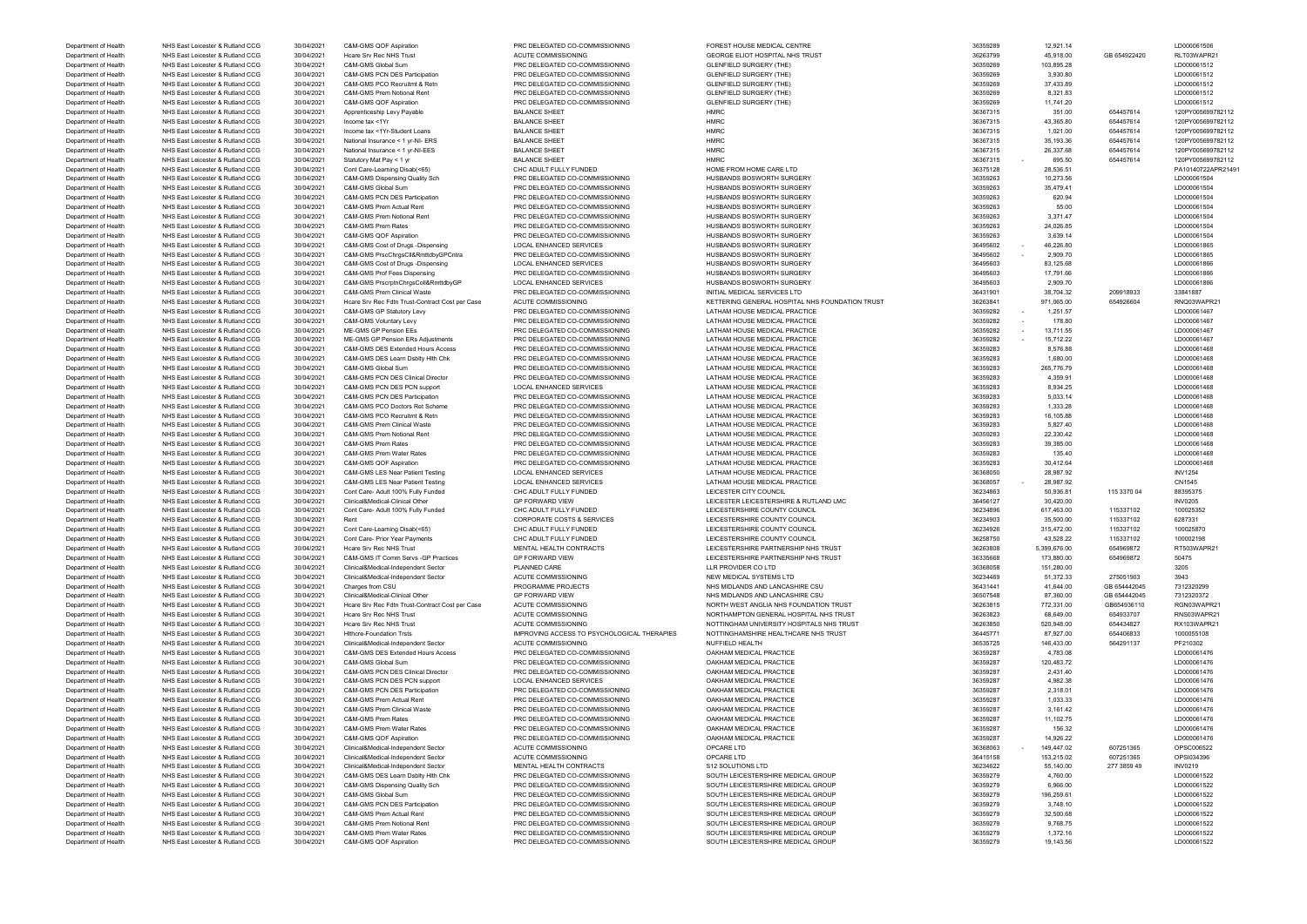| Department of Health |                                  |            |                                                 |                                             |                                                 |          |              |              |                   |
|----------------------|----------------------------------|------------|-------------------------------------------------|---------------------------------------------|-------------------------------------------------|----------|--------------|--------------|-------------------|
|                      | NHS East Leicester & Rutland CCG | 30/04/2021 | Hoare Srv Rec NHS Trust                         | ACUTE COMMISSIONING                         | GEORGE ELIOT HOSPITAL NHS TRUST                 | 36263799 | 45,918.00    | GB 654922420 | RLT03WAPR21       |
| Department of Health | NHS East Leicester & Rutland CCG | 30/04/2021 | C&M-GMS Global Sum                              | PRC DELEGATED CO-COMMISSIONING              | <b>GLENFIELD SURGERY (THE)</b>                  | 36359269 | 103,895.28   |              | LD000061512       |
| Department of Health | NHS East Leicester & Rutland CCG | 30/04/2021 | C&M-GMS PCN DES Participation                   | PRC DELEGATED CO-COMMISSIONING              | <b>GLENFIELD SURGERY (THE)</b>                  | 36359269 | 3,930.80     |              | LD000061512       |
| Department of Health | NHS East Leicester & Rutland CCG | 30/04/2021 | C&M-GMS PCO Recruitmt & Retn                    | PRC DELEGATED CO-COMMISSIONING              | <b>GLENFIELD SURGERY (THE)</b>                  | 36359269 | 37,433.89    |              | LD000061512       |
| Department of Health | NHS East Leicester & Rutland CCG | 30/04/2021 | C&M-GMS Prem Notional Rent                      | PRC DELEGATED CO-COMMISSIONING              | <b>GLENFIELD SURGERY (THE)</b>                  | 36359269 | 8,321.83     |              | LD000061512       |
| Department of Health | NHS East Leicester & Rutland CCG | 30/04/2021 | C&M-GMS QOF Aspiration                          | PRC DELEGATED CO-COMMISSIONING              | <b>GLENFIELD SURGERY (THE)</b>                  | 36359269 | 11,741.20    |              | LD000061512       |
| Department of Health | NHS East Leicester & Rutland CCG | 30/04/2021 | Apprenticeship Levy Payable                     | <b>BALANCE SHEET</b>                        | <b>HMRC</b>                                     | 36367315 | 351.00       | 654457614    | 120PY005699782112 |
| Department of Health | NHS East Leicester & Rutland CCG | 30/04/2021 | Income tax <1Yr                                 | <b>BALANCE SHEET</b>                        | <b>HMRC</b>                                     | 36367315 | 43,365.80    | 654457614    | 120PY005699782112 |
|                      |                                  |            |                                                 |                                             | <b>HMRC</b>                                     |          |              |              |                   |
| Department of Health | NHS East Leicester & Rutland CCG | 30/04/2021 | Income tax <1Yr-Student Loans                   | <b>BALANCE SHEET</b>                        |                                                 | 36367315 | 1,021.00     | 654457614    | 120PY005699782112 |
| Department of Health | NHS East Leicester & Rutland CCG | 30/04/2021 | National Insurance < 1 yr-NI- ERS               | <b>BALANCE SHEET</b>                        | <b>HMRC</b>                                     | 36367315 | 35,193.36    | 654457614    | 120PY005699782112 |
| Department of Health | NHS East Leicester & Rutland CCG | 30/04/2021 | National Insurance < 1 yr-NI-EES                | <b>BALANCE SHEET</b>                        | <b>HMRC</b>                                     | 36367315 | 26,337.68    | 654457614    | 120PY005699782112 |
| Department of Health | NHS East Leicester & Rutland CCG | 30/04/2021 | Statutory Mat Pay < 1 yr                        | <b>BALANCE SHEET</b>                        | <b>HMRC</b>                                     | 36367315 | 695.50       | 654457614    | 120PY005699782112 |
| Department of Health | NHS East Leicester & Rutland CCG | 30/04/2021 | Cont Care-Learning Disab(<65)                   | CHC ADULT FULLY FUNDED                      | HOME FROM HOME CARE LTD                         | 36375128 | 28,536.51    |              | PA10140722APR2149 |
| Department of Health | NHS East Leicester & Rutland CCG | 30/04/2021 | C&M-GMS Dispensing Quality Sch                  | PRC DELEGATED CO-COMMISSIONING              | HUSBANDS BOSWORTH SURGERY                       | 36359263 | 10,273.56    |              | LD000061504       |
| Department of Health | NHS East Leicester & Rutland CCG | 30/04/2021 | C&M-GMS Global Sum                              | PRC DELEGATED CO-COMMISSIONING              | HUSBANDS BOSWORTH SURGERY                       | 36359263 | 35,479.41    |              | LD000061504       |
| Department of Health | NHS East Leicester & Rutland CCG | 30/04/2021 | C&M-GMS PCN DES Participation                   | PRC DELEGATED CO-COMMISSIONING              | HUSBANDS BOSWORTH SURGERY                       | 36359263 | 620.94       |              | LD000061504       |
| Department of Health | NHS East Leicester & Rutland CCG | 30/04/2021 | C&M-GMS Prem Actual Rent                        | PRC DELEGATED CO-COMMISSIONING              | HUSBANDS BOSWORTH SURGERY                       | 36359263 | 55.00        |              | LD000061504       |
| Department of Health | NHS East Leicester & Rutland CCG | 30/04/2021 | C&M-GMS Prem Notional Rent                      | PRC DELEGATED CO-COMMISSIONING              | HUSBANDS BOSWORTH SURGERY                       | 36359263 | 3,371.47     |              | LD000061504       |
| Department of Health | NHS East Leicester & Rutland CCG | 30/04/2021 | C&M-GMS Prem Rates                              | PRC DELEGATED CO-COMMISSIONING              | HUSBANDS BOSWORTH SURGERY                       | 36359263 | 24,026.85    |              | LD000061504       |
| Department of Health | NHS East Leicester & Rutland CCG | 30/04/2021 | C&M-GMS QOF Aspiration                          | PRC DELEGATED CO-COMMISSIONING              | HUSBANDS BOSWORTH SURGERY                       | 36359263 | 3,639.14     |              | LD000061504       |
|                      | NHS East Leicester & Rutland CCG |            |                                                 |                                             | HUSBANDS BOSWORTH SURGERY                       |          | 46,226.80    |              |                   |
| Department of Health |                                  | 30/04/2021 | C&M-GMS Cost of Drugs -Dispensing               | <b>LOCAL ENHANCED SERVICES</b>              |                                                 | 36495602 |              |              | LD000061865       |
| Department of Health | NHS East Leicester & Rutland CCG | 30/04/2021 | C&M-GMS PrscChrgsCll&RmttdbyGPCntra             | PRC DELEGATED CO-COMMISSIONING              | HUSBANDS BOSWORTH SURGERY                       | 36495602 | 2,909.70     |              | LD000061865       |
| Department of Health | NHS East Leicester & Rutland CCG | 30/04/2021 | C&M-GMS Cost of Drugs -Dispensing               | <b>LOCAL ENHANCED SERVICES</b>              | HUSBANDS BOSWORTH SURGERY                       | 36495603 | 83,125.68    |              | LD000061866       |
| Department of Health | NHS East Leicester & Rutland CCG | 30/04/2021 | C&M-GMS Prof Fees Dispensing                    | PRC DELEGATED CO-COMMISSIONING              | HUSBANDS BOSWORTH SURGERY                       | 36495603 | 17,791.66    |              | LD000061866       |
| Department of Health | NHS East Leicester & Rutland CCG | 30/04/2021 | C&M-GMS PrscrptnChrgsColl&RmttdbyGP             | LOCAL ENHANCED SERVICES                     | HUSBANDS BOSWORTH SURGERY                       | 36495603 | 2,909.70     |              | LD000061866       |
| Department of Health | NHS East Leicester & Rutland CCG | 30/04/2021 | C&M-GMS Prem Clinical Waste                     | PRC DELEGATED CO-COMMISSIONING              | INITIAL MEDICAL SERVICES LTD                    | 36431901 | 38,704.32    | 209918933    | 33841887          |
| Department of Health | NHS East Leicester & Rutland CCG | 30/04/2021 | Hcare Srv Rec Fdtn Trust-Contract Cost per Case | ACUTE COMMISSIONING                         | KETTERING GENERAL HOSPITAL NHS FOUNDATION TRUST | 36263841 | 971,065.00   | 654926604    | RNQ03WAPR21       |
| Department of Health | NHS East Leicester & Rutland CCG | 30/04/2021 | C&M-GMS GP Statutory Levy                       | PRC DELEGATED CO-COMMISSIONING              | LATHAM HOUSE MEDICAL PRACTICE                   | 36359282 | 1,251.57     |              | LD000061467       |
| Department of Health | NHS East Leicester & Rutland CCG | 30/04/2021 | C&M-GMS Voluntary Levy                          | PRC DELEGATED CO-COMMISSIONING              | LATHAM HOUSE MEDICAL PRACTICE                   | 36359282 | 178.80       |              | LD000061467       |
| Department of Health | NHS East Leicester & Rutland CCG | 30/04/2021 | ME-GMS GP Pension EEs                           | PRC DELEGATED CO-COMMISSIONING              | LATHAM HOUSE MEDICAL PRACTICE                   | 36359282 | 13,711.55    |              | LD000061467       |
| Department of Health | NHS East Leicester & Rutland CCG | 30/04/2021 | ME-GMS GP Pension ERs Adjustments               | PRC DELEGATED CO-COMMISSIONING              | LATHAM HOUSE MEDICAL PRACTICE                   | 36359282 | 15,712.22    |              | LD000061467       |
|                      |                                  |            |                                                 |                                             |                                                 |          | 8,576.88     |              |                   |
| Department of Health | NHS East Leicester & Rutland CCG | 30/04/2021 | C&M-GMS DES Extended Hours Access               | PRC DELEGATED CO-COMMISSIONING              | LATHAM HOUSE MEDICAL PRACTICE                   | 36359283 |              |              | LD000061468       |
| Department of Health | NHS East Leicester & Rutland CCG | 30/04/2021 | C&M-GMS DES Learn Dsblty Hlth Chk               | PRC DELEGATED CO-COMMISSIONING              | LATHAM HOUSE MEDICAL PRACTICE                   | 36359283 | 1,680.00     |              | LD000061468       |
| Department of Health | NHS East Leicester & Rutland CCG | 30/04/2021 | C&M-GMS Global Sum                              | PRC DELEGATED CO-COMMISSIONING              | LATHAM HOUSE MEDICAL PRACTICE                   | 36359283 | 265,776.79   |              | LD000061468       |
| Department of Health | NHS East Leicester & Rutland CCG | 30/04/2021 | C&M-GMS PCN DES Clinical Director               | PRC DELEGATED CO-COMMISSIONING              | LATHAM HOUSE MEDICAL PRACTICE                   | 36359283 | 4,359.91     |              | LD000061468       |
| Department of Health | NHS East Leicester & Rutland CCG | 30/04/2021 | C&M-GMS PCN DES PCN support                     | <b>LOCAL ENHANCED SERVICES</b>              | LATHAM HOUSE MEDICAL PRACTICE                   | 36359283 | 8,934.25     |              | LD000061468       |
| Department of Health | NHS East Leicester & Rutland CCG | 30/04/2021 | C&M-GMS PCN DES Participation                   | PRC DELEGATED CO-COMMISSIONING              | LATHAM HOUSE MEDICAL PRACTICE                   | 36359283 | 5,033.14     |              | LD000061468       |
| Department of Health | NHS East Leicester & Rutland CCG | 30/04/2021 | C&M-GMS PCO Doctors Ret Scheme                  | PRC DELEGATED CO-COMMISSIONING              | LATHAM HOUSE MEDICAL PRACTICE                   | 36359283 | 1,333.28     |              | LD000061468       |
| Department of Health | NHS East Leicester & Rutland CCG | 30/04/2021 | C&M-GMS PCO Recruitmt & Retn                    | PRC DELEGATED CO-COMMISSIONING              | LATHAM HOUSE MEDICAL PRACTICE                   | 36359283 | 16,105.88    |              | LD000061468       |
| Department of Health | NHS East Leicester & Rutland CCG | 30/04/2021 | C&M-GMS Prem Clinical Waste                     | PRC DELEGATED CO-COMMISSIONING              | LATHAM HOUSE MEDICAL PRACTICE                   | 36359283 | 5,827.40     |              | LD000061468       |
| Department of Health | NHS East Leicester & Rutland CCG | 30/04/2021 | C&M-GMS Prem Notional Rent                      | PRC DELEGATED CO-COMMISSIONING              | LATHAM HOUSE MEDICAL PRACTICE                   | 36359283 | 22,330.42    |              | LD000061468       |
| Department of Health | NHS East Leicester & Rutland CCG | 30/04/2021 | C&M-GMS Prem Rates                              | PRC DELEGATED CO-COMMISSIONING              | LATHAM HOUSE MEDICAL PRACTICE                   | 36359283 | 39,385.00    |              | LD000061468       |
| Department of Health | NHS East Leicester & Rutland CCG | 30/04/2021 | C&M-GMS Prem Water Rates                        | PRC DELEGATED CO-COMMISSIONING              | LATHAM HOUSE MEDICAL PRACTICE                   | 36359283 | 135.40       |              | LD000061468       |
|                      |                                  |            |                                                 |                                             |                                                 |          |              |              |                   |
| Department of Health | NHS East Leicester & Rutland CCG | 30/04/2021 | C&M-GMS QOF Aspiration                          | PRC DELEGATED CO-COMMISSIONING              | LATHAM HOUSE MEDICAL PRACTICE                   | 36359283 | 30,412.64    |              | LD000061468       |
|                      |                                  |            |                                                 |                                             |                                                 |          |              |              |                   |
| Department of Health | NHS East Leicester & Rutland CCG | 30/04/2021 | C&M-GMS LES Near Patient Testing                | LOCAL ENHANCED SERVICES                     | LATHAM HOUSE MEDICAL PRACTICE                   | 36368050 | 28,987.92    |              | <b>INV1254</b>    |
| Department of Health | NHS East Leicester & Rutland CCG | 30/04/2021 | C&M-GMS LES Near Patient Testing                | <b>LOCAL ENHANCED SERVICES</b>              | LATHAM HOUSE MEDICAL PRACTICE                   | 36368057 | 28,987.92    |              | CN1545            |
| Department of Health | NHS East Leicester & Rutland CCG | 30/04/2021 | Cont Care- Adult 100% Fully Funded              | CHC ADULT FULLY FUNDED                      | LEICESTER CITY COUNCIL                          | 36234863 | 50,936.81    | 115 3370 04  | 88395375          |
| Department of Health | NHS East Leicester & Rutland CCG | 30/04/2021 | Clinical&Medical-Clinical Other                 | <b>GP FORWARD VIEW</b>                      | LEICESTER LEICESTERSHIRE & RUTLAND LMC          | 36456127 | 30,420.00    |              | <b>INV0205</b>    |
| Department of Health | NHS East Leicester & Rutland CCG | 30/04/2021 | Cont Care- Adult 100% Fully Funded              | CHC ADULT FULLY FUNDED                      | LEICESTERSHIRE COUNTY COUNCIL                   | 36234896 | 617,463.00   | 115337102    | 100025352         |
| Department of Health | NHS East Leicester & Rutland CCG | 30/04/2021 | Rent                                            | <b>CORPORATE COSTS &amp; SERVICES</b>       | LEICESTERSHIRE COUNTY COUNCIL                   | 36234903 | 35,500.00    | 115337102    | 6287331           |
| Department of Health | NHS East Leicester & Rutland CCG | 30/04/2021 |                                                 | CHC ADULT FULLY FUNDED                      | LEICESTERSHIRE COUNTY COUNCIL                   | 36234926 | 315,472.00   | 115337102    | 100025870         |
| Department of Health | NHS East Leicester & Rutland CCG | 30/04/2021 | Cont Care-Learning Disab(<65)                   |                                             | LEICESTERSHIRE COUNTY COUNCIL                   | 36258750 | 43.528.22    | 115337102    | 100002198         |
|                      |                                  |            | Cont Care- Prior Year Payments                  | CHC ADULT FULLY FUNDED                      |                                                 |          |              |              |                   |
| Department of Health | NHS East Leicester & Rutland CCG | 30/04/2021 | Hcare Srv Rec NHS Trust                         | MENTAL HEALTH CONTRACTS                     | LEICESTERSHIRE PARTNERSHIP NHS TRUST            | 36263808 | 5,399,676.00 | 654969872    | RT503WAPR21       |
| Department of Health | NHS East Leicester & Rutland CCG | 30/04/2021 | C&M-GMS IT Comm Servs -GP Practices             | <b>GP FORWARD VIEW</b>                      | LEICESTERSHIRE PARTNERSHIP NHS TRUST            | 36335668 | 173,880.00   | 654969872    | 50475             |
| Department of Health | NHS East Leicester & Rutland CCG | 30/04/2021 | Clinical&Medical-Independent Sector             | PLANNED CARE                                | LLR PROVIDER CO LTD                             | 36368058 | 151,280.00   |              | 3205              |
| Department of Health | NHS East Leicester & Rutland CCG | 30/04/2021 | Clinical&Medical-Independent Sector             | ACUTE COMMISSIONING                         | NEW MEDICAL SYSTEMS LTD                         | 36234469 | 51,372.33    | 275051903    | 3943              |
| Department of Health | NHS East Leicester & Rutland CCG | 30/04/2021 | Charges from CSU                                | PROGRAMME PROJECTS                          | NHS MIDLANDS AND LANCASHIRE CSU                 | 36431441 | 41,644.00    | GB 654442045 | 7312320299        |
| Department of Health | NHS East Leicester & Rutland CCG | 30/04/2021 | Clinical&Medical-Clinical Other                 | <b>GP FORWARD VIEW</b>                      | NHS MIDLANDS AND LANCASHIRE CSU                 | 36507548 | 87,360.00    | GB 654442045 | 7312320372        |
| Department of Health | NHS East Leicester & Rutland CCG | 30/04/2021 | Hoare Srv Rec Fdtn Trust-Contract Cost per Case | ACUTE COMMISSIONING                         | NORTH WEST ANGLIA NHS FOUNDATION TRUST          | 36263815 | 772,331.00   | GB654936110  | RGN03WAPR21       |
| Department of Health | NHS East Leicester & Rutland CCG | 30/04/2021 | Hcare Srv Rec NHS Trust                         | <b>ACUTE COMMISSIONING</b>                  | NORTHAMPTON GENERAL HOSPITAL NHS TRUST          | 36263823 | 68,649.00    | 654933707    | RNS03WAPR21       |
| Department of Health | NHS East Leicester & Rutland CCG | 30/04/2021 | Hcare Srv Rec NHS Trust                         | ACUTE COMMISSIONING                         | NOTTINGHAM UNIVERSITY HOSPITALS NHS TRUST       | 36263850 | 520,948.00   | 654434827    | RX103WAPR21       |
| Department of Health | NHS East Leicester & Rutland CCG | 30/04/2021 | <b>Hithcre-Foundation Trsts</b>                 | IMPROVING ACCESS TO PSYCHOLOGICAL THERAPIES | NOTTINGHAMSHIRE HEALTHCARE NHS TRUST            | 36445771 | 87,927.00    | 654406833    | 1000055108        |
| Department of Health | NHS East Leicester & Rutland CCG | 30/04/2021 | Clinical&Medical-Independent Sector             | ACUTE COMMISSIONING                         | NUFFIELD HEALTH                                 | 36535725 | 146,433.00   | 564291137    | PF210302          |
| Department of Health |                                  |            |                                                 |                                             |                                                 |          |              |              |                   |
|                      | NHS East Leicester & Rutland CCG | 30/04/2021 | C&M-GMS DES Extended Hours Access               | PRC DELEGATED CO-COMMISSIONING              | OAKHAM MEDICAL PRACTICE                         | 36359287 | 4,783.08     |              | LD000061476       |
| Department of Health | NHS East Leicester & Rutland CCG | 30/04/2021 | C&M-GMS Global Sum                              | PRC DELEGATED CO-COMMISSIONING              | OAKHAM MEDICAL PRACTICE                         | 36359287 | 120,483.72   |              | LD000061476       |
| Department of Health | NHS East Leicester & Rutland CCG | 30/04/2021 | C&M-GMS PCN DES Clinical Director               | PRC DELEGATED CO-COMMISSIONING              | OAKHAM MEDICAL PRACTICE                         | 36359287 | 2,431.40     |              | LD000061476       |
| Department of Health | NHS East Leicester & Rutland CCG | 30/04/2021 | C&M-GMS PCN DES PCN support                     | <b>LOCAL ENHANCED SERVICES</b>              | OAKHAM MEDICAL PRACTICE                         | 36359287 | 4,982.38     |              | LD000061476       |
| Department of Health | NHS East Leicester & Rutland CCG | 30/04/2021 | C&M-GMS PCN DES Participation                   | PRC DELEGATED CO-COMMISSIONING              | OAKHAM MEDICAL PRACTICE                         | 36359287 | 2,318.01     |              | LD000061476       |
| Department of Health | NHS East Leicester & Rutland CCG | 30/04/2021 | C&M-GMS Prem Actual Rent                        | PRC DELEGATED CO-COMMISSIONING              | OAKHAM MEDICAL PRACTICE                         | 36359287 | 1,033.33     |              | LD000061476       |
| Department of Health | NHS East Leicester & Rutland CCG | 30/04/2021 | C&M-GMS Prem Clinical Waste                     | PRC DELEGATED CO-COMMISSIONING              | OAKHAM MEDICAL PRACTICE                         | 36359287 | 3,161.42     |              | LD000061476       |
| Department of Health | NHS East Leicester & Rutland CCG | 30/04/2021 | C&M-GMS Prem Rates                              | PRC DELEGATED CO-COMMISSIONING              | OAKHAM MEDICAL PRACTICE                         | 36359287 | 11,102.75    |              | LD000061476       |
| Department of Health | NHS East Leicester & Rutland CCG | 30/04/2021 | C&M-GMS Prem Water Rates                        | PRC DELEGATED CO-COMMISSIONING              | OAKHAM MEDICAL PRACTICE                         | 36359287 | 156.32       |              | LD000061476       |
| Department of Health | NHS East Leicester & Rutland CCG | 30/04/2021 | C&M-GMS QOF Aspiration                          | PRC DELEGATED CO-COMMISSIONING              | OAKHAM MEDICAL PRACTICE                         | 36359287 | 14,926.22    |              | LD000061476       |
| Department of Health | NHS East Leicester & Rutland CCG | 30/04/2021 | Clinical&Medical-Independent Sector             | <b>ACUTE COMMISSIONING</b>                  | OPCARE LTD                                      | 36368063 | 149,447.02   | 607251365    | OPSC006522        |
|                      |                                  |            |                                                 | <b>ACUTE COMMISSIONING</b>                  | OPCARE LTD                                      |          |              |              |                   |
| Department of Health | NHS East Leicester & Rutland CCG | 30/04/2021 | Clinical&Medical-Independent Sector             |                                             |                                                 | 36415158 | 153,215.02   | 607251365    | OPSI034396        |
| Department of Health | NHS East Leicester & Rutland CCG | 30/04/2021 | Clinical&Medical-Independent Sector             | MENTAL HEALTH CONTRACTS                     | S12 SOLUTIONS LTD                               | 36234622 | 55,140.00    | 277 3859 49  | <b>INV0219</b>    |
| Department of Health | NHS East Leicester & Rutland CCG | 30/04/2021 | C&M-GMS DES Learn Dsblty Hith Chk               | PRC DELEGATED CO-COMMISSIONING              | SOUTH LEICESTERSHIRE MEDICAL GROUP              | 36359279 | 4,760.00     |              | LD000061522       |
| Department of Health | NHS East Leicester & Rutland CCG | 30/04/2021 | C&M-GMS Dispensing Quality Sch                  | PRC DELEGATED CO-COMMISSIONING              | SOUTH LEICESTERSHIRE MEDICAL GROUP              | 36359279 | 6,966.00     |              | LD000061522       |
| Department of Health | NHS East Leicester & Rutland CCG | 30/04/2021 | C&M-GMS Global Sum                              | PRC DELEGATED CO-COMMISSIONING              | SOUTH LEICESTERSHIRE MEDICAL GROUP              | 36359279 | 196,259.61   |              | LD000061522       |
| Department of Health | NHS East Leicester & Rutland CCG | 30/04/2021 | C&M-GMS PCN DES Participation                   | PRC DELEGATED CO-COMMISSIONING              | SOUTH LEICESTERSHIRE MEDICAL GROUP              | 36359279 | 3,748.10     |              | LD000061522       |
| Department of Health | NHS East Leicester & Rutland CCG | 30/04/2021 | C&M-GMS Prem Actual Rent                        | PRC DELEGATED CO-COMMISSIONING              | SOUTH LEICESTERSHIRE MEDICAL GROUP              | 36359279 | 32,500.68    |              | LD000061522       |
| Department of Health | NHS East Leicester & Rutland CCG | 30/04/2021 | C&M-GMS Prem Notional Rent                      | PRC DELEGATED CO-COMMISSIONING              | SOUTH LEICESTERSHIRE MEDICAL GROUP              | 36359279 | 9,768.75     |              | LD000061522       |
| Department of Health | NHS East Leicester & Rutland CCG | 30/04/2021 | C&M-GMS Prem Water Rates                        | PRC DELEGATED CO-COMMISSIONING              | SOUTH LEICESTERSHIRE MEDICAL GROUP              | 36359279 | 1,372.16     |              | LD000061522       |